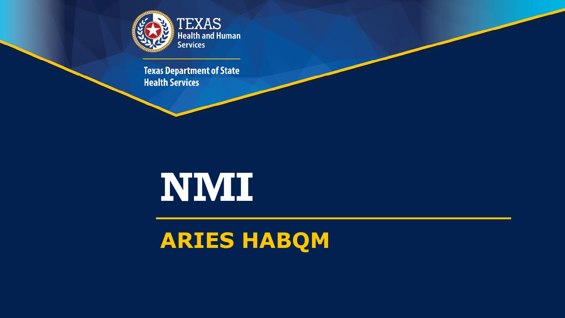

**Texas Department of State Health Services** 

# **NMI**

#### **ARIES HABQM**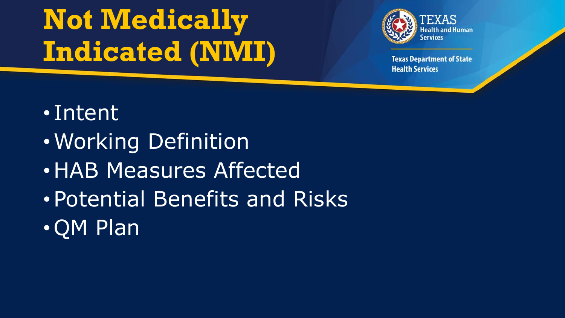# **Not Medically Indicated (NMI)**



- Intent
- •Working Definition
- •HAB Measures Affected
- •Potential Benefits and Risks
- •QM Plan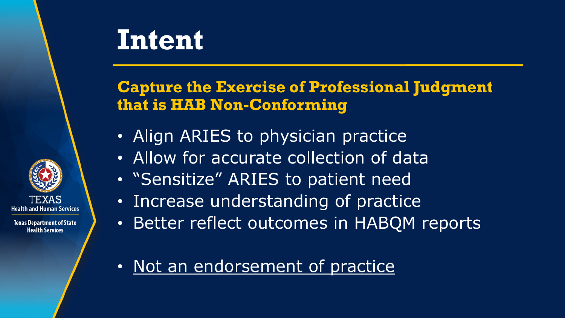### **Intent**

#### **Capture the Exercise of Professional Judgment that is HAB Non-Conforming**

- Align ARIES to physician practice
- Allow for accurate collection of data
- "Sensitize" ARIES to patient need
- Increase understanding of practice
- Better reflect outcomes in HABQM reports
- Not an endorsement of practice

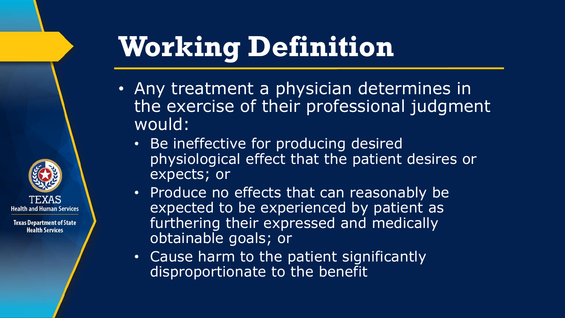# **Working Definition**

- Any treatment a physician determines in the exercise of their professional judgment would:
	- Be ineffective for producing desired physiological effect that the patient desires or expects; or
	- Produce no effects that can reasonably be expected to be experienced by patient as furthering their expressed and medically obtainable goals; or
	- Cause harm to the patient significantly disproportionate to the benefit

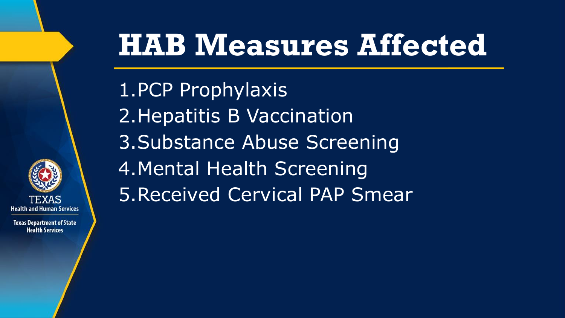

**Texas Department of State Health Services** 

# **HAB Measures Affected**

1.PCP Prophylaxis 2.Hepatitis B Vaccination 3.Substance Abuse Screening 4.Mental Health Screening 5.Received Cervical PAP Smear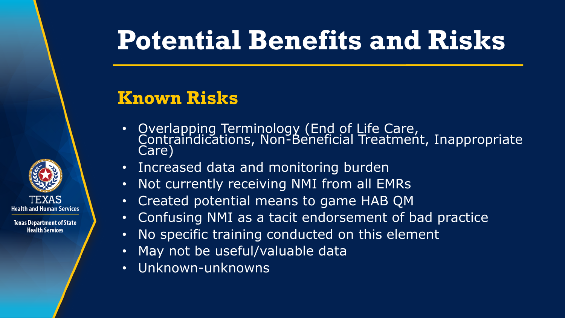### **Potential Benefits and Risks**

#### **Known Risks**



- Overlapping Terminology (End of Life Care, Contraindications, Non-Beneficial Treatment, Inappropriate Care)
- Increased data and monitoring burden
- Not currently receiving NMI from all EMRs
- Created potential means to game HAB QM
- Confusing NMI as a tacit endorsement of bad practice
- No specific training conducted on this element
- May not be useful/valuable data
- Unknown-unknowns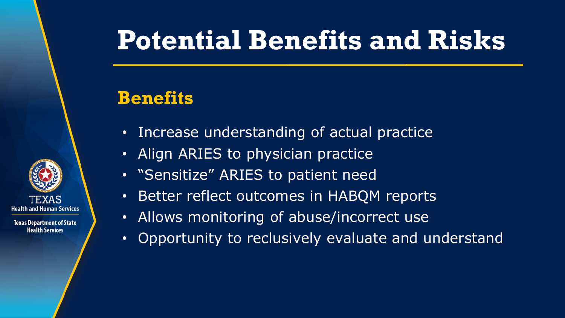### **Potential Benefits and Risks**

#### **Benefits**

- Increase understanding of actual practice
- Align ARIES to physician practice
- "Sensitize" ARIES to patient need
- Better reflect outcomes in HABQM reports
- Allows monitoring of abuse/incorrect use
- Opportunity to reclusively evaluate and understand

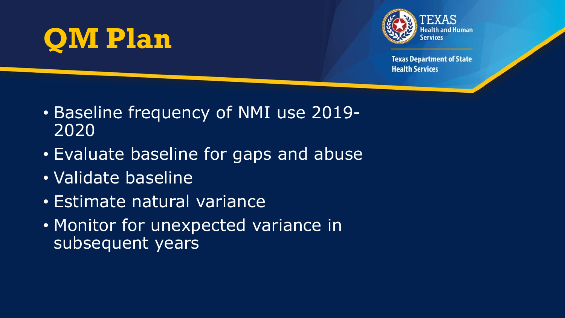## **QM Plan**



- Baseline frequency of NMI use 2019- 2020
- Evaluate baseline for gaps and abuse
- Validate baseline
- Estimate natural variance
- Monitor for unexpected variance in subsequent years